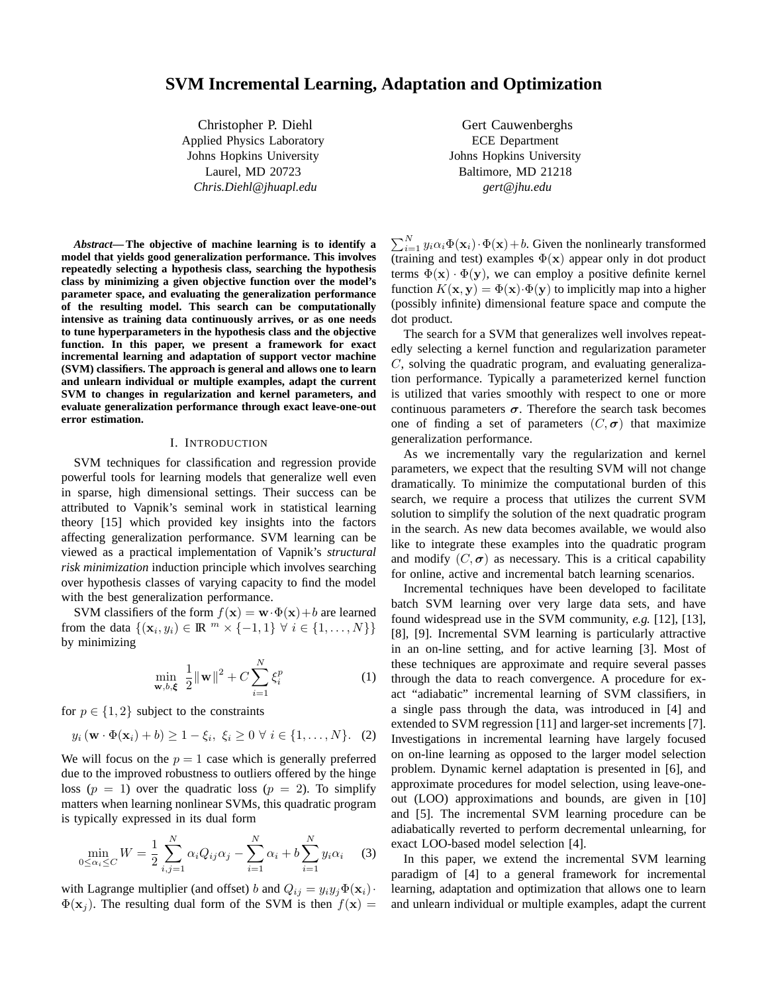# **SVM Incremental Learning, Adaptation and Optimization**

Christopher P. Diehl Applied Physics Laboratory Johns Hopkins University Laurel, MD 20723 *Chris.Diehl@jhuapl.edu*

*Abstract***— The objective of machine learning is to identify a model that yields good generalization performance. This involves repeatedly selecting a hypothesis class, searching the hypothesis class by minimizing a given objective function over the model's parameter space, and evaluating the generalization performance of the resulting model. This search can be computationally intensive as training data continuously arrives, or as one needs to tune hyperparameters in the hypothesis class and the objective function. In this paper, we present a framework for exact incremental learning and adaptation of support vector machine (SVM) classifiers. The approach is general and allows one to learn and unlearn individual or multiple examples, adapt the current SVM to changes in regularization and kernel parameters, and evaluate generalization performance through exact leave-one-out error estimation.**

### I. INTRODUCTION

SVM techniques for classification and regression provide powerful tools for learning models that generalize well even in sparse, high dimensional settings. Their success can be attributed to Vapnik's seminal work in statistical learning theory [15] which provided key insights into the factors affecting generalization performance. SVM learning can be viewed as a practical implementation of Vapnik's *structural risk minimization* induction principle which involves searching over hypothesis classes of varying capacity to find the model with the best generalization performance.

SVM classifiers of the form  $f(\mathbf{x}) = \mathbf{w} \cdot \Phi(\mathbf{x}) + b$  are learned from the data  $\{(\mathbf{x}_i, y_i) \in \mathbb{R}^m \times \{-1, 1\} \forall i \in \{1, ..., N\}\}\$ by minimizing

$$
\min_{\mathbf{w},b,\xi} \frac{1}{2} {\|\mathbf{w}\|}^2 + C \sum_{i=1}^N \xi_i^p
$$
 (1)

for  $p \in \{1, 2\}$  subject to the constraints

$$
y_i\left(\mathbf{w}\cdot\Phi(\mathbf{x}_i)+b\right)\geq 1-\xi_i,\ \xi_i\geq 0\ \forall\ i\in\{1,\ldots,N\}.\tag{2}
$$

We will focus on the  $p = 1$  case which is generally preferred due to the improved robustness to outliers offered by the hinge loss ( $p = 1$ ) over the quadratic loss ( $p = 2$ ). To simplify matters when learning nonlinear SVMs, this quadratic program is typically expressed in its dual form

$$
\min_{0 \le \alpha_i \le C} W = \frac{1}{2} \sum_{i,j=1}^{N} \alpha_i Q_{ij} \alpha_j - \sum_{i=1}^{N} \alpha_i + b \sum_{i=1}^{N} y_i \alpha_i \tag{3}
$$

with Lagrange multiplier (and offset) b and  $Q_{ij} = y_i y_j \Phi(\mathbf{x}_i) \cdot$  $\Phi(\mathbf{x}_i)$ . The resulting dual form of the SVM is then  $f(\mathbf{x}) =$ 

Gert Cauwenberghs ECE Department Johns Hopkins University Baltimore, MD 21218 *gert@jhu.edu*

 $\sum_{i=1}^{N} y_i \alpha_i \Phi(\mathbf{x}_i) \cdot \Phi(\mathbf{x}) + b$ . Given the nonlinearly transformed (training and test) examples  $\Phi(\mathbf{x})$  appear only in dot product terms  $\Phi(\mathbf{x}) \cdot \Phi(\mathbf{y})$ , we can employ a positive definite kernel function  $K(\mathbf{x}, \mathbf{y}) = \Phi(\mathbf{x}) \cdot \Phi(\mathbf{y})$  to implicitly map into a higher (possibly infinite) dimensional feature space and compute the dot product.

The search for a SVM that generalizes well involves repeatedly selecting a kernel function and regularization parameter  $C$ , solving the quadratic program, and evaluating generalization performance. Typically a parameterized kernel function is utilized that varies smoothly with respect to one or more continuous parameters  $\sigma$ . Therefore the search task becomes one of finding a set of parameters  $(C, \sigma)$  that maximize generalization performance.

As we incrementally vary the regularization and kernel parameters, we expect that the resulting SVM will not change dramatically. To minimize the computational burden of this search, we require a process that utilizes the current SVM solution to simplify the solution of the next quadratic program in the search. As new data becomes available, we would also like to integrate these examples into the quadratic program and modify  $(C, \sigma)$  as necessary. This is a critical capability for online, active and incremental batch learning scenarios.

Incremental techniques have been developed to facilitate batch SVM learning over very large data sets, and have found widespread use in the SVM community, *e.g.* [12], [13], [8], [9]. Incremental SVM learning is particularly attractive in an on-line setting, and for active learning [3]. Most of these techniques are approximate and require several passes through the data to reach convergence. A procedure for exact "adiabatic" incremental learning of SVM classifiers, in a single pass through the data, was introduced in [4] and extended to SVM regression [11] and larger-set increments [7]. Investigations in incremental learning have largely focused on on-line learning as opposed to the larger model selection problem. Dynamic kernel adaptation is presented in [6], and approximate procedures for model selection, using leave-oneout (LOO) approximations and bounds, are given in [10] and [5]. The incremental SVM learning procedure can be adiabatically reverted to perform decremental unlearning, for exact LOO-based model selection [4].

In this paper, we extend the incremental SVM learning paradigm of [4] to a general framework for incremental learning, adaptation and optimization that allows one to learn and unlearn individual or multiple examples, adapt the current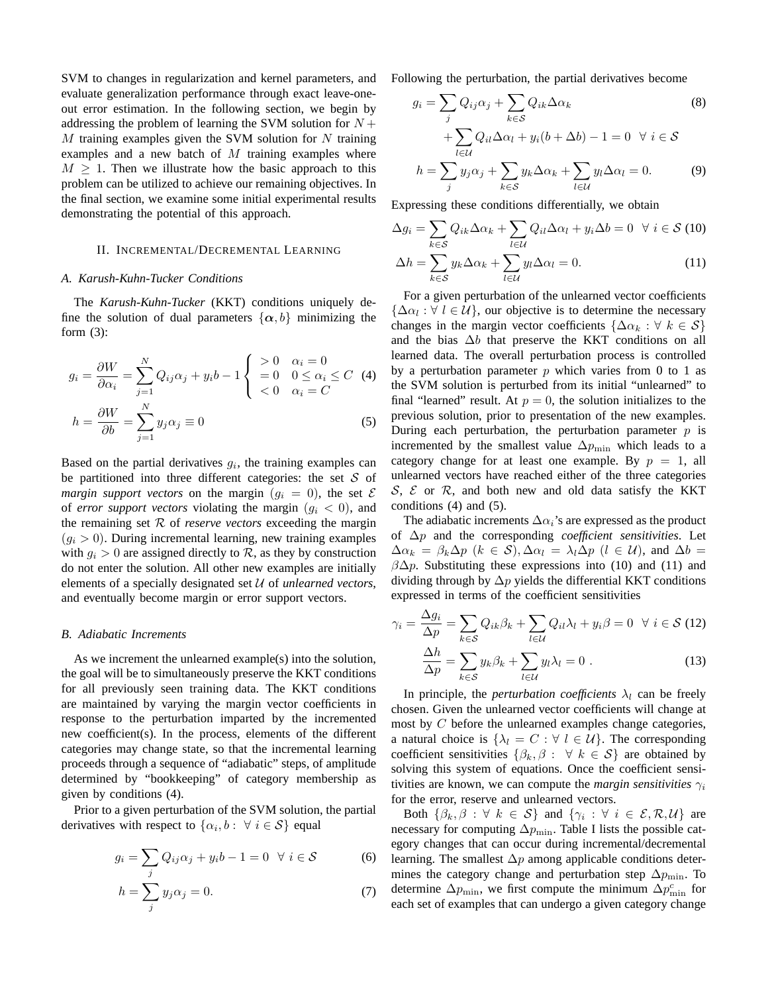SVM to changes in regularization and kernel parameters, and evaluate generalization performance through exact leave-oneout error estimation. In the following section, we begin by addressing the problem of learning the SVM solution for  $N +$  $M$  training examples given the SVM solution for  $N$  training examples and a new batch of  $M$  training examples where  $M \geq 1$ . Then we illustrate how the basic approach to this problem can be utilized to achieve our remaining objectives. In the final section, we examine some initial experimental results demonstrating the potential of this approach.

### II. INCREMENTAL/DECREMENTAL LEARNING

### *A. Karush-Kuhn-Tucker Conditions*

The *Karush-Kuhn-Tucker* (KKT) conditions uniquely define the solution of dual parameters  $\{\alpha, b\}$  minimizing the form  $(3)$ :

$$
g_i = \frac{\partial W}{\partial \alpha_i} = \sum_{j=1}^N Q_{ij} \alpha_j + y_i b - 1 \begin{cases} > 0 & \alpha_i = 0 \\ > 0 & 0 \le \alpha_i \le C \\ < 0 & \alpha_i = C \end{cases} \tag{4}
$$
\n
$$
h = \frac{\partial W}{\partial b} = \sum_{j=1}^N y_j \alpha_j \equiv 0 \tag{5}
$$

Based on the partial derivatives  $g_i$ , the training examples can be partitioned into three different categories: the set  $S$  of *margin support vectors* on the margin  $(g_i = 0)$ , the set  $\mathcal E$ of *error support vectors* violating the margin  $(g_i < 0)$ , and the remaining set R of *reserve vectors* exceeding the margin  $(q_i > 0)$ . During incremental learning, new training examples with  $g_i > 0$  are assigned directly to  $\mathcal{R}$ , as they by construction do not enter the solution. All other new examples are initially elements of a specially designated set U of *unlearned vectors*, and eventually become margin or error support vectors.

#### *B. Adiabatic Increments*

As we increment the unlearned example(s) into the solution, the goal will be to simultaneously preserve the KKT conditions for all previously seen training data. The KKT conditions are maintained by varying the margin vector coefficients in response to the perturbation imparted by the incremented new coefficient(s). In the process, elements of the different categories may change state, so that the incremental learning proceeds through a sequence of "adiabatic" steps, of amplitude determined by "bookkeeping" of category membership as given by conditions (4).

Prior to a given perturbation of the SVM solution, the partial derivatives with respect to  $\{\alpha_i, b : \forall i \in S\}$  equal

$$
g_i = \sum_j Q_{ij}\alpha_j + y_ib - 1 = 0 \quad \forall \ i \in \mathcal{S}
$$
 (6)

$$
h = \sum_{j} y_j \alpha_j = 0. \tag{7}
$$

Following the perturbation, the partial derivatives become

$$
g_i = \sum_j Q_{ij}\alpha_j + \sum_{k \in S} Q_{ik}\Delta\alpha_k
$$
  
+
$$
\sum_{l \in U} Q_{il}\Delta\alpha_l + y_i(b + \Delta b) - 1 = 0 \quad \forall \ i \in S
$$
  

$$
h = \sum_j y_j \alpha_j + \sum_{k \in S} y_k \Delta\alpha_k + \sum_{l \in U} y_l \Delta\alpha_l = 0.
$$
 (9)

Expressing these conditions differentially, we obtain

$$
\Delta g_i = \sum_{k \in S} Q_{ik} \Delta \alpha_k + \sum_{l \in \mathcal{U}} Q_{il} \Delta \alpha_l + y_i \Delta b = 0 \quad \forall \ i \in S \ (10)
$$

$$
\Delta h = \sum_{k \in S} y_k \Delta \alpha_k + \sum_{l \in \mathcal{U}} y_l \Delta \alpha_l = 0. \tag{11}
$$

For a given perturbation of the unlearned vector coefficients  $\{\Delta \alpha_l : \forall l \in \mathcal{U}\}\$ , our objective is to determine the necessary changes in the margin vector coefficients  $\{\Delta \alpha_k : \forall k \in S\}$ and the bias  $\Delta b$  that preserve the KKT conditions on all learned data. The overall perturbation process is controlled by a perturbation parameter  $p$  which varies from 0 to 1 as the SVM solution is perturbed from its initial "unlearned" to final "learned" result. At  $p = 0$ , the solution initializes to the previous solution, prior to presentation of the new examples. During each perturbation, the perturbation parameter  $p$  is incremented by the smallest value  $\Delta p_{\text{min}}$  which leads to a category change for at least one example. By  $p = 1$ , all unlearned vectors have reached either of the three categories  $S, \, \mathcal{E}$  or  $\mathcal{R}$ , and both new and old data satisfy the KKT conditions (4) and (5).

The adiabatic increments  $\Delta \alpha_i$ 's are expressed as the product of ∆p and the corresponding *coefficient sensitivities*. Let  $\Delta \alpha_k = \beta_k \Delta p$   $(k \in S), \Delta \alpha_l = \lambda_l \Delta p$   $(l \in \mathcal{U}),$  and  $\Delta b =$  $\beta \Delta p$ . Substituting these expressions into (10) and (11) and dividing through by  $\Delta p$  yields the differential KKT conditions expressed in terms of the coefficient sensitivities

$$
\gamma_i = \frac{\Delta g_i}{\Delta p} = \sum_{k \in S} Q_{ik} \beta_k + \sum_{l \in \mathcal{U}} Q_{il} \lambda_l + y_i \beta = 0 \quad \forall \ i \in S \ (12)
$$

$$
\frac{\Delta h}{\Delta p} = \sum_{l} y_{l} \beta_{l} + \sum_{l} y_{l} \lambda_l = 0 \ . \tag{13}
$$

$$
\frac{\Delta n}{\Delta p} = \sum_{k \in \mathcal{S}} y_k \beta_k + \sum_{l \in \mathcal{U}} y_l \lambda_l = 0 \tag{13}
$$

In principle, the *perturbation coefficients*  $\lambda_l$  can be freely chosen. Given the unlearned vector coefficients will change at most by  $C$  before the unlearned examples change categories, a natural choice is  $\{\lambda_l = C : \forall l \in \mathcal{U}\}\)$ . The corresponding coefficient sensitivities  $\{\beta_k, \beta : \forall k \in S\}$  are obtained by solving this system of equations. Once the coefficient sensitivities are known, we can compute the *margin sensitivities*  $\gamma_i$ for the error, reserve and unlearned vectors.

Both  $\{\beta_k, \beta : \forall k \in S\}$  and  $\{\gamma_i : \forall i \in \mathcal{E}, \mathcal{R}, \mathcal{U}\}\$  are necessary for computing  $\Delta p_{\text{min}}$ . Table I lists the possible category changes that can occur during incremental/decremental learning. The smallest  $\Delta p$  among applicable conditions determines the category change and perturbation step  $\Delta p_{\text{min}}$ . To determine  $\Delta p_{\text{min}}$ , we first compute the minimum  $\Delta p_{\text{min}}^c$  for each set of examples that can undergo a given category change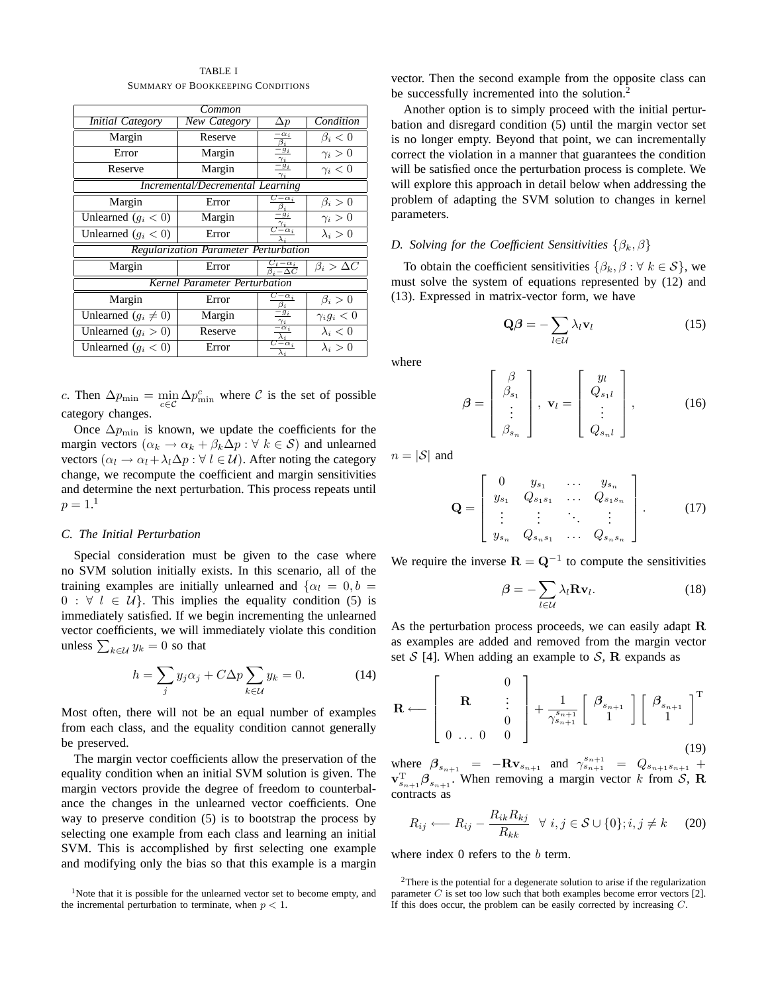| Common                                  |                                                             |                                             |                                     |  |  |  |  |  |
|-----------------------------------------|-------------------------------------------------------------|---------------------------------------------|-------------------------------------|--|--|--|--|--|
| <b>Initial Category</b>                 | <b>New Category</b>                                         | $\Delta p$                                  | Condition                           |  |  |  |  |  |
| Margin                                  | Reserve                                                     | $-\alpha_i$<br>$\beta_i$                    | $\beta_i < 0$                       |  |  |  |  |  |
| Error                                   | Margin                                                      | $-\ddot{g}_i$<br>$\gamma_i$                 | $\gamma_i>0$                        |  |  |  |  |  |
| Reserve                                 | $\overline{-g_i}$<br>Margin<br>$\gamma_i < 0$<br>$\gamma_i$ |                                             |                                     |  |  |  |  |  |
| <b>Incremental/Decremental Learning</b> |                                                             |                                             |                                     |  |  |  |  |  |
| Margin                                  | Error                                                       | $C=\alpha_i$                                | $\beta_i > 0$                       |  |  |  |  |  |
| Unlearned $(g_i < 0)$                   | Margin                                                      | $-g_i$                                      | $\gamma_i>0$                        |  |  |  |  |  |
| Unlearned $(g_i < 0)$                   | Error                                                       | $-\alpha_i$                                 | $\lambda_i > 0$                     |  |  |  |  |  |
| Regularization Parameter Perturbation   |                                                             |                                             |                                     |  |  |  |  |  |
| Margin                                  | Error                                                       | $\frac{C_t - \alpha_i}{\beta_i - \Delta C}$ | $\beta_i > \Delta C$                |  |  |  |  |  |
| Kernel Parameter Perturbation           |                                                             |                                             |                                     |  |  |  |  |  |
| Margin                                  | Error                                                       | $\overline{C-\alpha}_i$<br>в,               | $\beta_i > 0$<br>$\gamma_i g_i < 0$ |  |  |  |  |  |
| Unlearned $(g_i \neq 0)$                | Margin                                                      | $-g_i$                                      |                                     |  |  |  |  |  |
| Unlearned $(g_i > 0)$                   | Reserve                                                     | $-\alpha_i$                                 | $\lambda_i < 0$                     |  |  |  |  |  |
| Unlearned $(g_i < 0)$                   | Error                                                       | $-\alpha_i$                                 | $\lambda_i > 0$                     |  |  |  |  |  |

TABLE I SUMMARY OF BOOKKEEPING CONDITIONS

c. Then  $\Delta p_{\min} = \min_{c \in \mathcal{C}} \Delta p_{\min}^c$  where  $\mathcal C$  is the set of possible category changes.

Once  $\Delta p_{\text{min}}$  is known, we update the coefficients for the margin vectors ( $\alpha_k \to \alpha_k + \beta_k \Delta p : \forall k \in S$ ) and unlearned vectors  $(\alpha_l \to \alpha_l + \lambda_l \Delta p : \forall l \in \mathcal{U})$ . After noting the category change, we recompute the coefficient and margin sensitivities and determine the next perturbation. This process repeats until  $p = 1.^1$ 

### *C. The Initial Perturbation*

Special consideration must be given to the case where no SVM solution initially exists. In this scenario, all of the training examples are initially unlearned and  $\{\alpha_l = 0, b =$  $0 : \forall l \in \mathcal{U}$ . This implies the equality condition (5) is immediately satisfied. If we begin incrementing the unlearned vector coefficients, we will immediately violate this condition unless  $\sum_{k\in\mathcal{U}}y_k=0$  so that

$$
h = \sum_{j} y_j \alpha_j + C \Delta p \sum_{k \in \mathcal{U}} y_k = 0. \tag{14}
$$

Most often, there will not be an equal number of examples from each class, and the equality condition cannot generally be preserved.

The margin vector coefficients allow the preservation of the equality condition when an initial SVM solution is given. The margin vectors provide the degree of freedom to counterbalance the changes in the unlearned vector coefficients. One way to preserve condition (5) is to bootstrap the process by selecting one example from each class and learning an initial SVM. This is accomplished by first selecting one example and modifying only the bias so that this example is a margin

<sup>1</sup>Note that it is possible for the unlearned vector set to become empty, and the incremental perturbation to terminate, when  $p < 1$ .

vector. Then the second example from the opposite class can be successfully incremented into the solution.<sup>2</sup>

Another option is to simply proceed with the initial perturbation and disregard condition (5) until the margin vector set is no longer empty. Beyond that point, we can incrementally correct the violation in a manner that guarantees the condition will be satisfied once the perturbation process is complete. We will explore this approach in detail below when addressing the problem of adapting the SVM solution to changes in kernel parameters.

### *D. Solving for the Coefficient Sensitivities*  $\{\beta_k, \beta\}$

To obtain the coefficient sensitivities  $\{\beta_k, \beta : \forall k \in S\}$ , we must solve the system of equations represented by (12) and (13). Expressed in matrix-vector form, we have

$$
\mathbf{Q}\boldsymbol{\beta} = -\sum_{l \in \mathcal{U}} \lambda_l \mathbf{v}_l \tag{15}
$$

where

$$
\boldsymbol{\beta} = \begin{bmatrix} \beta \\ \beta_{s_1} \\ \vdots \\ \beta_{s_n} \end{bmatrix}, \ \mathbf{v}_l = \begin{bmatrix} y_l \\ Q_{s_1l} \\ \vdots \\ Q_{s_nl} \end{bmatrix}, \qquad (16)
$$

 $n = |\mathcal{S}|$  and

$$
\mathbf{Q} = \begin{bmatrix} 0 & y_{s_1} & \dots & y_{s_n} \\ y_{s_1} & Q_{s_1 s_1} & \dots & Q_{s_1 s_n} \\ \vdots & \vdots & \ddots & \vdots \\ y_{s_n} & Q_{s_n s_1} & \dots & Q_{s_n s_n} \end{bmatrix} . \tag{17}
$$

We require the inverse  $\mathbf{R} = \mathbf{Q}^{-1}$  to compute the sensitivities

$$
\beta = -\sum_{l \in \mathcal{U}} \lambda_l \mathbf{R} \mathbf{v}_l. \tag{18}
$$

As the perturbation process proceeds, we can easily adapt R as examples are added and removed from the margin vector set  $S$  [4]. When adding an example to  $S$ , R expands as

$$
\mathbf{R} \longleftarrow \left[ \begin{array}{ccc} & & 0 \\ & \mathbf{R} & \vdots \\ & & 0 \\ 0 & \dots & 0 & 0 \end{array} \right] + \frac{1}{\gamma_{s_{n+1}}^{s_{n+1}}} \left[ \begin{array}{c} \beta_{s_{n+1}} \\ 1 \end{array} \right] \left[ \begin{array}{c} \beta_{s_{n+1}} \\ 1 \end{array} \right]^{\mathrm{T}} \tag{19}
$$

where  $\beta_{s_{n+1}} = -Rv_{s_{n+1}}$  and  $\gamma_{s_{n+1}}^{s_{n+1}} = Q_{s_{n+1}s_{n+1}} +$  $\mathbf{v}_{s_{n+1}}^{\mathrm{T}} \boldsymbol{\beta}_{s_{n+1}}$ . When removing a margin vector k from S, R contracts as

$$
R_{ij} \longleftarrow R_{ij} - \frac{R_{ik}R_{kj}}{R_{kk}} \quad \forall \ i, j \in \mathcal{S} \cup \{0\}; i, j \neq k \quad (20)
$$

where index  $0$  refers to the  $b$  term.

<sup>&</sup>lt;sup>2</sup>There is the potential for a degenerate solution to arise if the regularization parameter  $C$  is set too low such that both examples become error vectors [2]. If this does occur, the problem can be easily corrected by increasing  $C$ .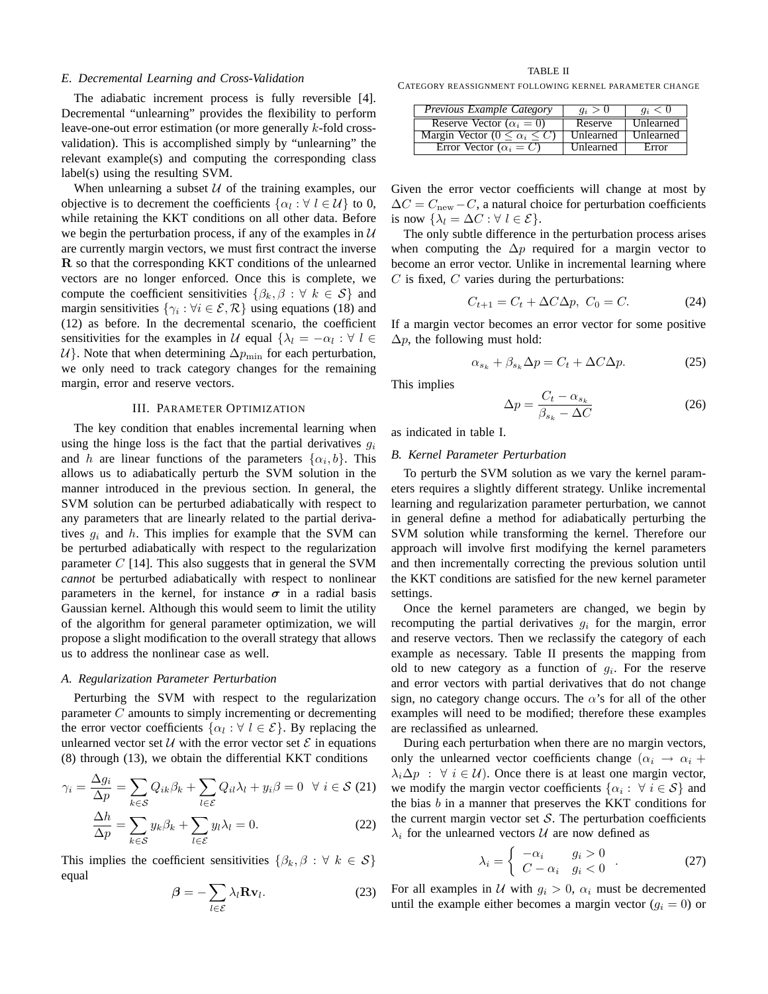### *E. Decremental Learning and Cross-Validation*

The adiabatic increment process is fully reversible [4]. Decremental "unlearning" provides the flexibility to perform leave-one-out error estimation (or more generally k-fold crossvalidation). This is accomplished simply by "unlearning" the relevant example(s) and computing the corresponding class label(s) using the resulting SVM.

When unlearning a subset  $U$  of the training examples, our objective is to decrement the coefficients  $\{\alpha_l : \forall l \in \mathcal{U}\}\$  to 0, while retaining the KKT conditions on all other data. Before we begin the perturbation process, if any of the examples in  $U$ are currently margin vectors, we must first contract the inverse R so that the corresponding KKT conditions of the unlearned vectors are no longer enforced. Once this is complete, we compute the coefficient sensitivities  $\{\beta_k, \beta : \forall k \in S\}$  and margin sensitivities  $\{\gamma_i : \forall i \in \mathcal{E}, \mathcal{R}\}\$  using equations (18) and (12) as before. In the decremental scenario, the coefficient sensitivities for the examples in U equal  $\{\lambda_l = -\alpha_l : \forall l \in$  $U$ . Note that when determining  $\Delta p_{\text{min}}$  for each perturbation, we only need to track category changes for the remaining margin, error and reserve vectors.

# III. PARAMETER OPTIMIZATION

The key condition that enables incremental learning when using the hinge loss is the fact that the partial derivatives  $q_i$ and h are linear functions of the parameters  $\{\alpha_i, b\}$ . This allows us to adiabatically perturb the SVM solution in the manner introduced in the previous section. In general, the SVM solution can be perturbed adiabatically with respect to any parameters that are linearly related to the partial derivatives  $g_i$  and h. This implies for example that the SVM can be perturbed adiabatically with respect to the regularization parameter  $C$  [14]. This also suggests that in general the SVM *cannot* be perturbed adiabatically with respect to nonlinear parameters in the kernel, for instance  $\sigma$  in a radial basis Gaussian kernel. Although this would seem to limit the utility of the algorithm for general parameter optimization, we will propose a slight modification to the overall strategy that allows us to address the nonlinear case as well.

#### *A. Regularization Parameter Perturbation*

Perturbing the SVM with respect to the regularization parameter C amounts to simply incrementing or decrementing the error vector coefficients  $\{\alpha_l : \forall l \in \mathcal{E}\}\$ . By replacing the unlearned vector set  $U$  with the error vector set  $E$  in equations (8) through (13), we obtain the differential KKT conditions

$$
\gamma_i = \frac{\Delta g_i}{\Delta p} = \sum_{k \in \mathcal{S}} Q_{ik} \beta_k + \sum_{l \in \mathcal{E}} Q_{il} \lambda_l + y_i \beta = 0 \quad \forall \ i \in \mathcal{S} \ (21)
$$

$$
\frac{\Delta h}{\Delta p} = \sum_{k \in \mathcal{S}} y_k \beta_k + \sum_{l \in \mathcal{E}} y_l \lambda_l = 0.
$$
 (22)

This implies the coefficient sensitivities  $\{\beta_k, \beta : \forall k \in S\}$ equal

$$
\beta = -\sum_{l \in \mathcal{E}} \lambda_l \mathbf{R} \mathbf{v}_l. \tag{23}
$$

TABLE II

CATEGORY REASSIGNMENT FOLLOWING KERNEL PARAMETER CHANGE

| Previous Example Category                | $q_i>0$   | $q_i < 0$        |
|------------------------------------------|-----------|------------------|
| Reserve Vector $(\alpha_i = 0)$          | Reserve   | <b>Unlearned</b> |
| Margin Vector $(0 \leq \alpha_i \leq C)$ | Unlearned | Unlearned        |
| Error Vector $(\alpha_i = C)$            | Unlearned | Error            |

Given the error vector coefficients will change at most by  $\Delta C = C_{\text{new}} - C$ , a natural choice for perturbation coefficients is now  $\{\lambda_l = \Delta C : \forall l \in \mathcal{E}\}.$ 

The only subtle difference in the perturbation process arises when computing the  $\Delta p$  required for a margin vector to become an error vector. Unlike in incremental learning where  $C$  is fixed,  $C$  varies during the perturbations:

$$
C_{t+1} = C_t + \Delta C \Delta p, \ C_0 = C. \tag{24}
$$

If a margin vector becomes an error vector for some positive  $\Delta p$ , the following must hold:

$$
\alpha_{s_k} + \beta_{s_k} \Delta p = C_t + \Delta C \Delta p. \tag{25}
$$

This implies

$$
\Delta p = \frac{C_t - \alpha_{s_k}}{\beta_{s_k} - \Delta C} \tag{26}
$$

as indicated in table I.

### *B. Kernel Parameter Perturbation*

To perturb the SVM solution as we vary the kernel parameters requires a slightly different strategy. Unlike incremental learning and regularization parameter perturbation, we cannot in general define a method for adiabatically perturbing the SVM solution while transforming the kernel. Therefore our approach will involve first modifying the kernel parameters and then incrementally correcting the previous solution until the KKT conditions are satisfied for the new kernel parameter settings.

Once the kernel parameters are changed, we begin by recomputing the partial derivatives  $g_i$  for the margin, error and reserve vectors. Then we reclassify the category of each example as necessary. Table II presents the mapping from old to new category as a function of  $g_i$ . For the reserve and error vectors with partial derivatives that do not change sign, no category change occurs. The  $\alpha$ 's for all of the other examples will need to be modified; therefore these examples are reclassified as unlearned.

During each perturbation when there are no margin vectors, only the unlearned vector coefficients change  $(\alpha_i \rightarrow \alpha_i + \alpha_i)$  $\lambda_i \Delta p$  :  $\forall i \in \mathcal{U}$ ). Once there is at least one margin vector, we modify the margin vector coefficients  $\{\alpha_i: \forall i \in S\}$  and the bias b in a manner that preserves the KKT conditions for the current margin vector set  $S$ . The perturbation coefficients  $\lambda_i$  for the unlearned vectors U are now defined as

$$
\lambda_i = \begin{cases}\n-\alpha_i & g_i > 0 \\
C - \alpha_i & g_i < 0\n\end{cases}.
$$
\n(27)

For all examples in  $U$  with  $g_i > 0$ ,  $\alpha_i$  must be decremented until the example either becomes a margin vector  $(g_i = 0)$  or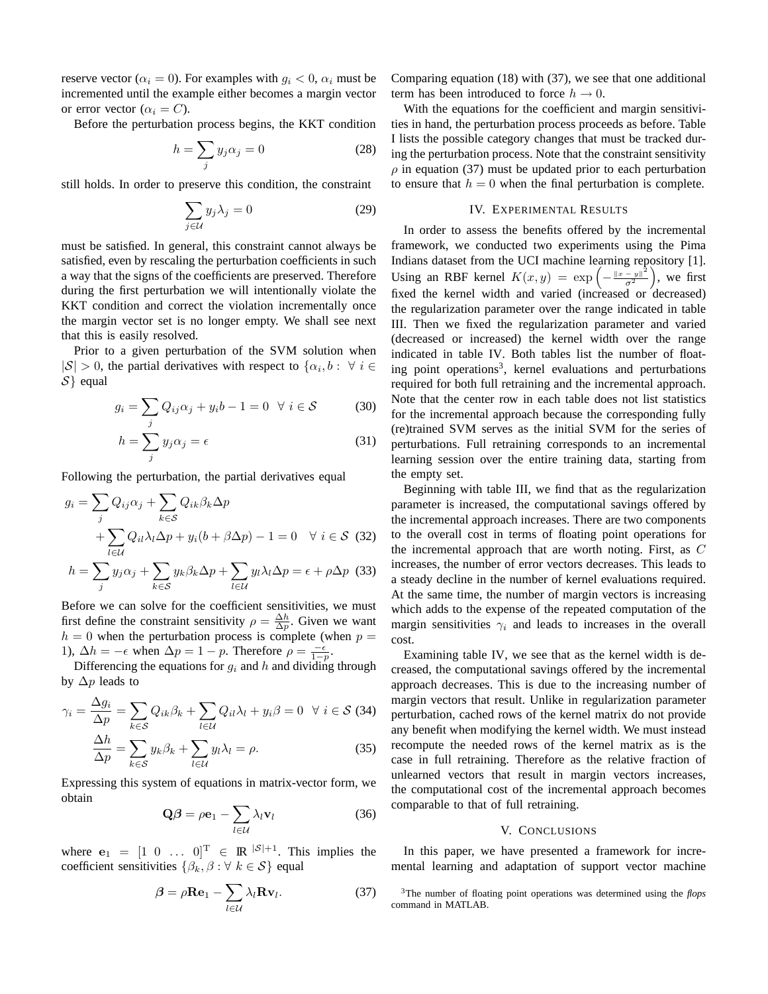reserve vector ( $\alpha_i = 0$ ). For examples with  $g_i < 0$ ,  $\alpha_i$  must be incremented until the example either becomes a margin vector or error vector ( $\alpha_i = C$ ).

Before the perturbation process begins, the KKT condition

$$
h = \sum_{j} y_j \alpha_j = 0 \tag{28}
$$

still holds. In order to preserve this condition, the constraint

$$
\sum_{j \in \mathcal{U}} y_j \lambda_j = 0 \tag{29}
$$

must be satisfied. In general, this constraint cannot always be satisfied, even by rescaling the perturbation coefficients in such a way that the signs of the coefficients are preserved. Therefore during the first perturbation we will intentionally violate the KKT condition and correct the violation incrementally once the margin vector set is no longer empty. We shall see next that this is easily resolved.

Prior to a given perturbation of the SVM solution when  $|S| > 0$ , the partial derivatives with respect to  $\{\alpha_i, b : \forall i \in$  $S$ } equal

$$
g_i = \sum_j Q_{ij}\alpha_j + y_ib - 1 = 0 \quad \forall \ i \in \mathcal{S} \tag{30}
$$

$$
h = \sum_{j} y_j \alpha_j = \epsilon \tag{31}
$$

Following the perturbation, the partial derivatives equal

$$
g_i = \sum_j Q_{ij}\alpha_j + \sum_{k \in S} Q_{ik}\beta_k \Delta p
$$
  
+ 
$$
\sum_{l \in \mathcal{U}} Q_{il}\lambda_l \Delta p + y_i(b + \beta \Delta p) - 1 = 0 \quad \forall \ i \in S \quad (32)
$$

$$
h = \sum_{j} y_j \alpha_j + \sum_{k \in S} y_k \beta_k \Delta p + \sum_{l \in \mathcal{U}} y_l \lambda_l \Delta p = \epsilon + \rho \Delta p \quad (33)
$$

Before we can solve for the coefficient sensitivities, we must first define the constraint sensitivity  $\rho = \frac{\Delta h}{\Delta p}$ . Given we want  $h = 0$  when the perturbation process is complete (when  $p =$ 1),  $\Delta h = -\epsilon$  when  $\Delta p = 1 - p$ . Therefore  $\rho = \frac{-\epsilon}{1 - p}$ .

Differencing the equations for  $g_i$  and h and dividing through by  $\Delta p$  leads to

$$
\gamma_i = \frac{\Delta g_i}{\Delta p} = \sum_{k \in S} Q_{ik} \beta_k + \sum_{l \in \mathcal{U}} Q_{il} \lambda_l + y_i \beta = 0 \quad \forall \ i \in S \ (34)
$$

$$
\frac{\Delta h}{\Delta p} = \sum_{k \in S} y_k \beta_k + \sum_{l \in \mathcal{U}} y_l \lambda_l = \rho. \tag{35}
$$

Expressing this system of equations in matrix-vector form, we obtain

$$
\mathbf{Q}\boldsymbol{\beta} = \rho \mathbf{e}_1 - \sum_{l \in \mathcal{U}} \lambda_l \mathbf{v}_l \tag{36}
$$

where  $\mathbf{e}_1 = \begin{bmatrix} 1 & 0 & \dots & 0 \end{bmatrix}^T \in \mathbb{R}^{|S|+1}$ . This implies the coefficient sensitivities  $\{\beta_k, \beta : \forall k \in S\}$  equal

$$
\beta = \rho \mathbf{Re}_1 - \sum_{l \in \mathcal{U}} \lambda_l \mathbf{R} \mathbf{v}_l. \tag{37}
$$

Comparing equation (18) with (37), we see that one additional term has been introduced to force  $h \to 0$ .

With the equations for the coefficient and margin sensitivities in hand, the perturbation process proceeds as before. Table I lists the possible category changes that must be tracked during the perturbation process. Note that the constraint sensitivity  $\rho$  in equation (37) must be updated prior to each perturbation to ensure that  $h = 0$  when the final perturbation is complete.

# IV. EXPERIMENTAL RESULTS

In order to assess the benefits offered by the incremental framework, we conducted two experiments using the Pima Indians dataset from the UCI machine learning repository [1]. Using an RBF kernel  $K(x,y) = \exp \left(-\frac{\|x-y\|^2}{\sigma^2}\right)$  $\left(\frac{-y\|^2}{\sigma^2}\right)$ , we first fixed the kernel width and varied (increased or decreased) the regularization parameter over the range indicated in table III. Then we fixed the regularization parameter and varied (decreased or increased) the kernel width over the range indicated in table IV. Both tables list the number of floating point operations<sup>3</sup>, kernel evaluations and perturbations required for both full retraining and the incremental approach. Note that the center row in each table does not list statistics for the incremental approach because the corresponding fully (re)trained SVM serves as the initial SVM for the series of perturbations. Full retraining corresponds to an incremental learning session over the entire training data, starting from the empty set.

Beginning with table III, we find that as the regularization parameter is increased, the computational savings offered by the incremental approach increases. There are two components to the overall cost in terms of floating point operations for the incremental approach that are worth noting. First, as C increases, the number of error vectors decreases. This leads to a steady decline in the number of kernel evaluations required. At the same time, the number of margin vectors is increasing which adds to the expense of the repeated computation of the margin sensitivities  $\gamma_i$  and leads to increases in the overall cost.

Examining table IV, we see that as the kernel width is decreased, the computational savings offered by the incremental approach decreases. This is due to the increasing number of margin vectors that result. Unlike in regularization parameter perturbation, cached rows of the kernel matrix do not provide any benefit when modifying the kernel width. We must instead recompute the needed rows of the kernel matrix as is the case in full retraining. Therefore as the relative fraction of unlearned vectors that result in margin vectors increases, the computational cost of the incremental approach becomes comparable to that of full retraining.

#### V. CONCLUSIONS

In this paper, we have presented a framework for incremental learning and adaptation of support vector machine

<sup>3</sup>The number of floating point operations was determined using the *flops* command in MATLAB.